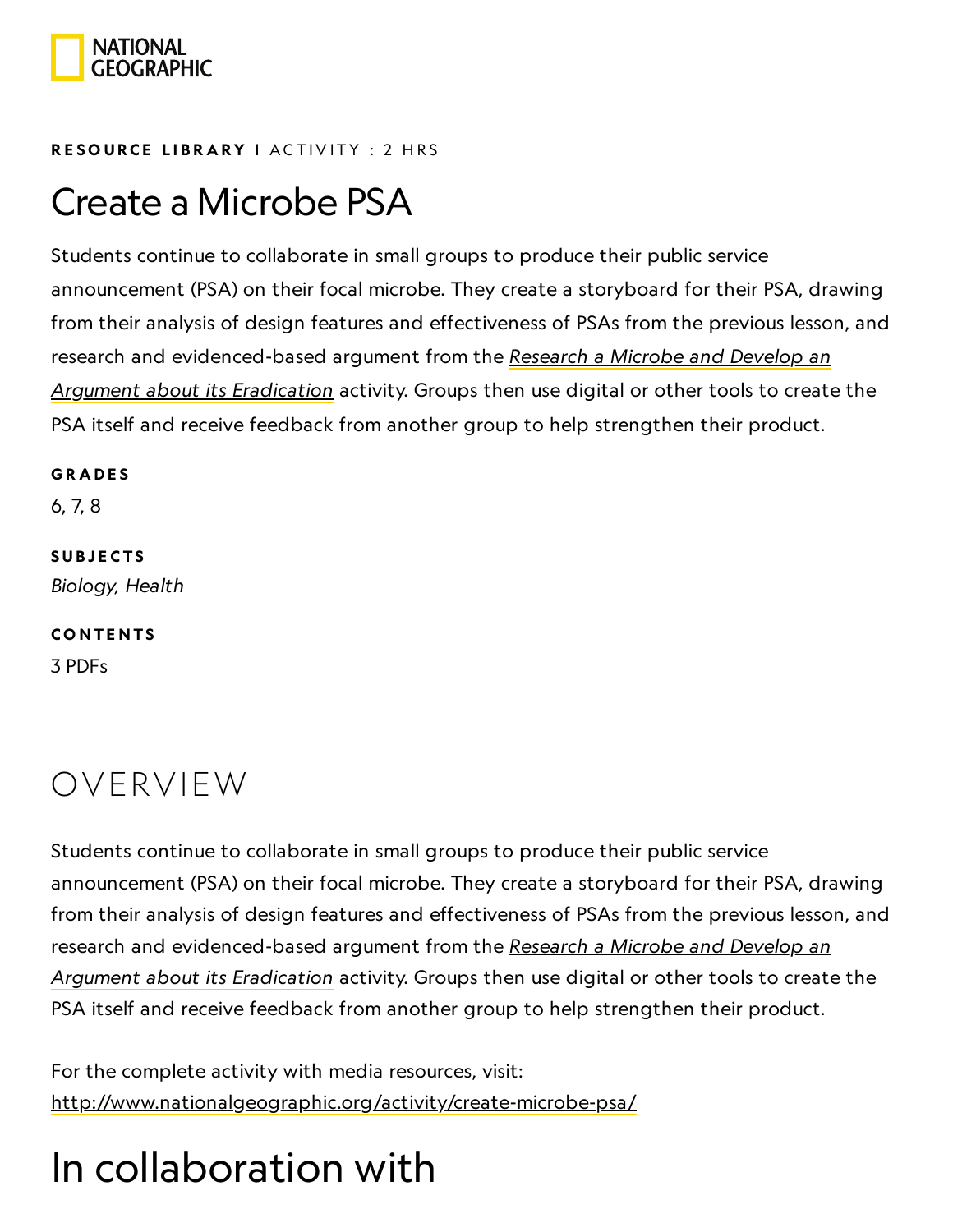

#### RESOURCE LIBRA[RY](https://www.nationalgeographic.org/education/resource-library/) I ACTIVITY : 2 HRS

## Create a Microbe PSA

Students continue to collaborate in small groups to produce their public service announcement (PSA) on their focal microbe. They create a storyboard for their PSA, drawing from their analysis of design features and effectiveness of PSAs from the previous lesson, and research and [evidenced-based](https://www.nationalgeographic.org/activity/research-microbe-and-develop-argument-about-its-eradication/) argument from the Research a Microbe and Develop an Argument about its Eradication activity. Groups then use digital or other tools to create the PSA itself and receive feedback from another group to help strengthen their product.

**GRADES** 

6, 7, 8

**SUBJECTS** Biology, Health

**CONTENTS** 3 PDFs

## OVERVIEW

Students continue to collaborate in small groups to produce their public service announcement (PSA) on their focal microbe. They create a storyboard for their PSA, drawing from their analysis of design features and effectiveness of PSAs from the previous lesson, and research and [evidenced-based](https://www.nationalgeographic.org/activity/research-microbe-and-develop-argument-about-its-eradication/) argument from the Research a Microbe and Develop an Argument about its Eradication activity. Groups then use digital or other tools to create the PSA itself and receive feedback from another group to help strengthen their product.

For the complete activity with media resources, visit: <http://www.nationalgeographic.org/activity/create-microbe-psa/>

## In collaboration with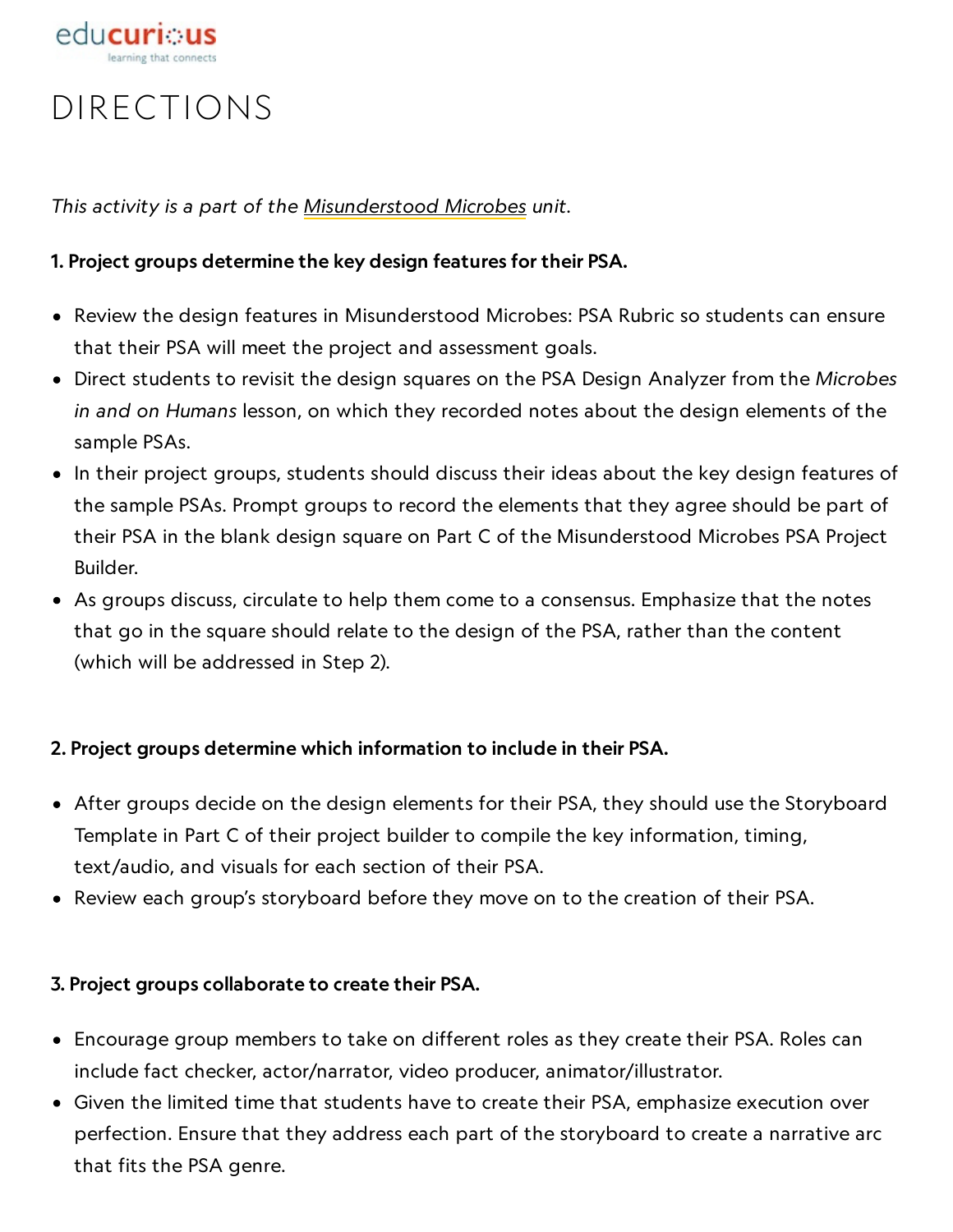

## DIRECTIONS

This activity is a part of the [Misunderstood](https://www.nationalgeographic.org/unit/misunderstood-microbes/) Microbes unit.

#### 1. Project groups determine the key design features for their PSA.

- Review the design features in Misunderstood Microbes: PSA Rubric so students can ensure that their PSA will meet the project and assessment goals.
- Direct students to revisit the design squares on the PSA Design Analyzer from the Microbes in and on Humans lesson, on which they recorded notes about the design elements of the sample PSAs.
- In their project groups, students should discuss their ideas about the key design features of the sample PSAs. Prompt groups to record the elements that they agree should be part of their PSA in the blank design square on Part C of the Misunderstood Microbes PSA Project Builder.
- As groups discuss, circulate to help them come to a consensus. Emphasize that the notes that go in the square should relate to the design of the PSA, rather than the content (which will be addressed in Step 2).

#### 2. Project groups determine which information to include in their PSA.

- After groups decide on the design elements for their PSA, they should use the Storyboard Template in Part C of their project builder to compile the key information, timing, text/audio, and visuals for each section of their PSA.
- Review each group's storyboard before they move on to the creation of their PSA.

#### 3. Project groups collaborate to create their PSA.

- Encourage group members to take on different roles as they create their PSA. Roles can include fact checker, actor/narrator, video producer, animator/illustrator.
- Given the limited time that students have to create their PSA, emphasize execution over perfection. Ensure that they address each part of the storyboard to create a narrative arc that fits the PSA genre.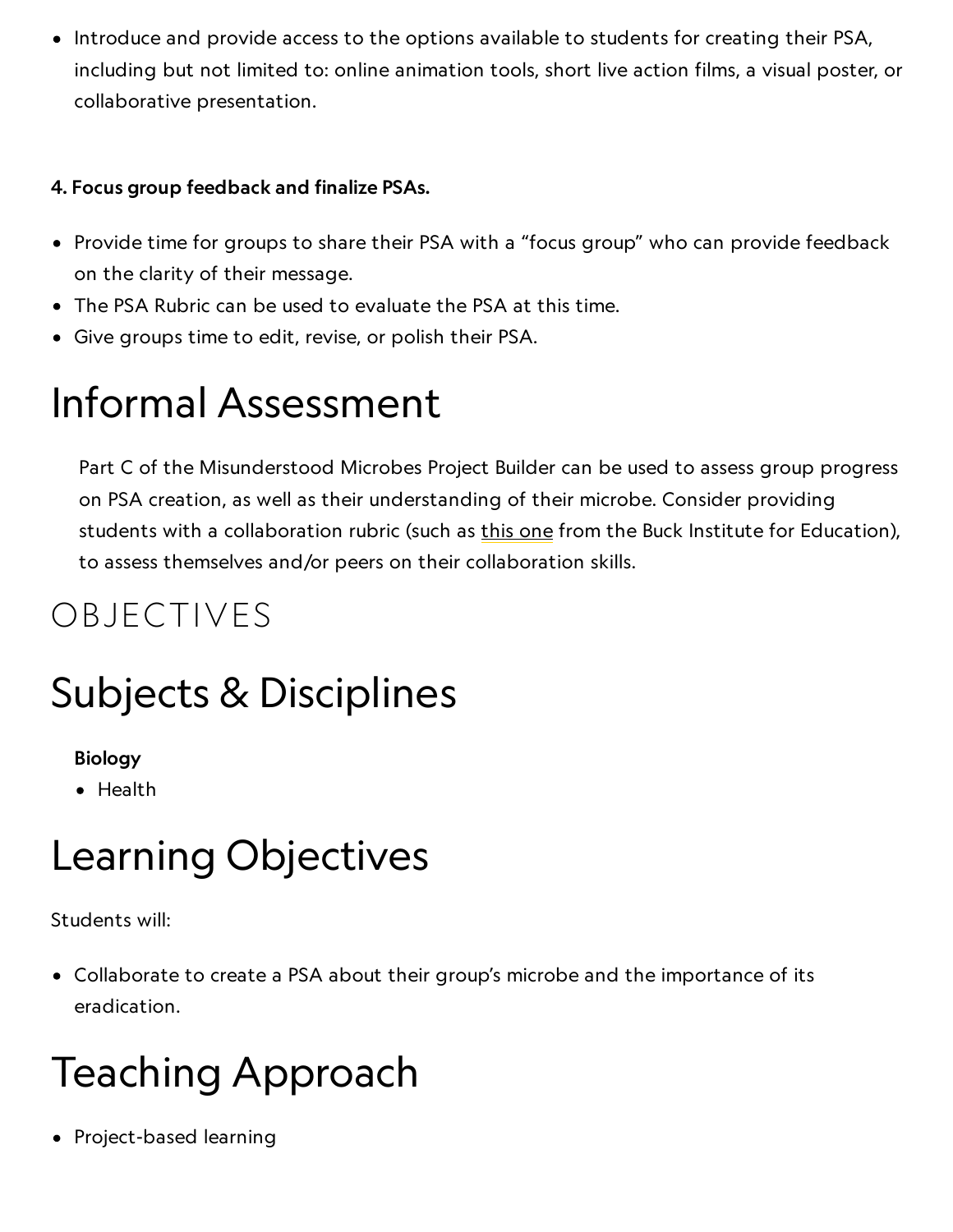• Introduce and provide access to the options available to students for creating their PSA, including but not limited to: online animation tools, short live action films, a visual poster, or collaborative presentation.

### 4. Focus group feedback and finalize PSAs.

- Provide time for groups to share their PSA with a "focus group" who can provide feedback on the clarity of their message.
- The PSA Rubric can be used to evaluate the PSA at this time.
- Give groups time to edit, revise, or polish their PSA.

## Informal Assessment

Part C of the Misunderstood Microbes Project Builder can be used to assess group progress on PSA creation, as well as their understanding of their microbe. Consider providing students with a collaboration rubric (such as this [one](http://my.pblworks.org/resource/document/6_12_collaboration_rubric_ccss_aligned) from the Buck Institute for Education), to assess themselves and/or peers on their collaboration skills.

## OBJECTIVES

# Subjects & Disciplines

### Biology

• Health

## Learning Objectives

#### Students will:

Collaborate to create a PSA about their group's microbe and the importance of its eradication.

## Teaching Approach

• Project-based learning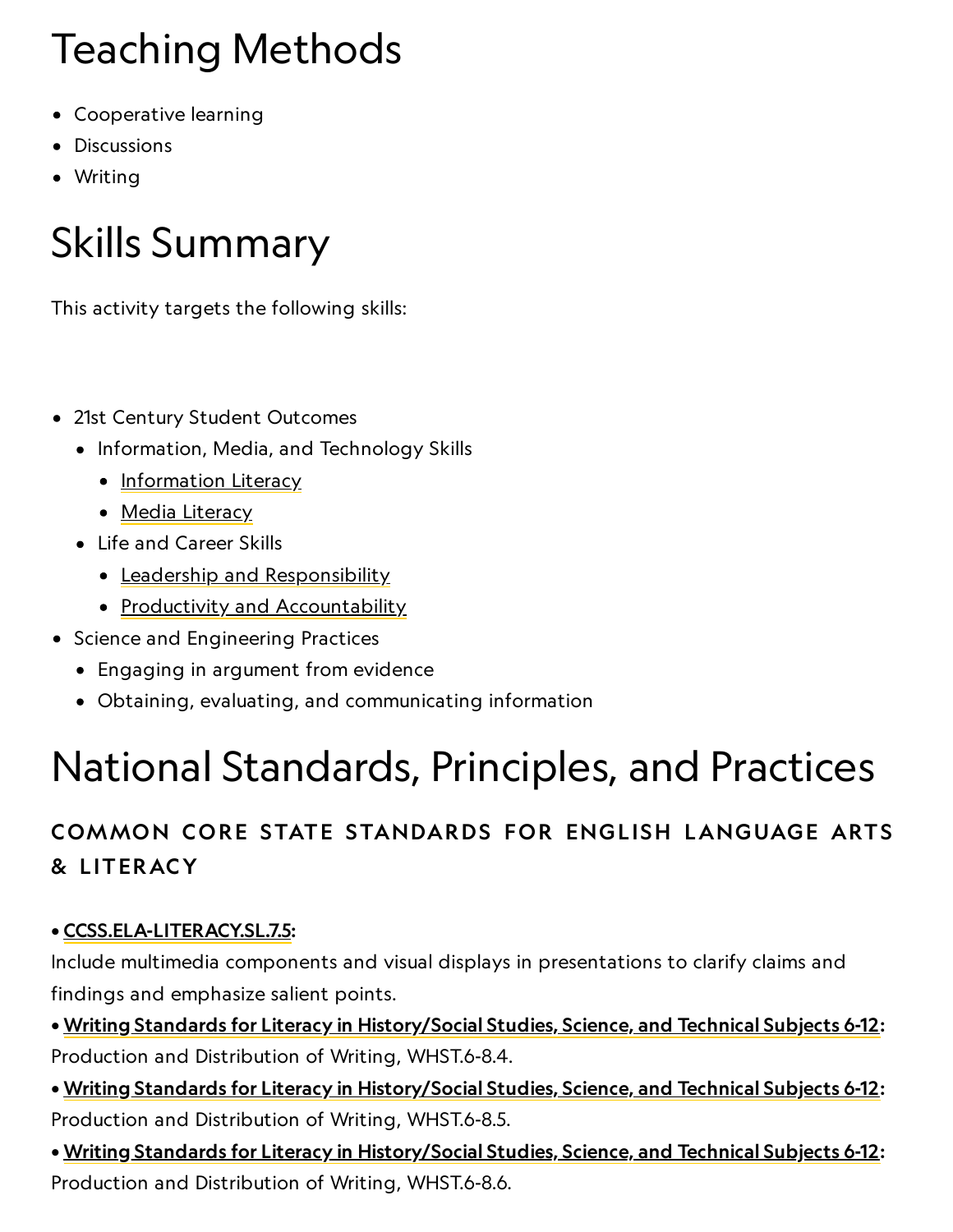# Teaching Methods **Teaching Methods**

- Cooperative learning
- Discussions
- Writing

# Skills Summary

This activity targets the following skills:

- 21st Century Student Outcomes
	- Information, Media, and Technology Skills
		- [Information](http://www.p21.org/index.php?option=com_content&task=view&id=264&Itemid=120) Literacy
		- Media [Literacy](http://www.p21.org/index.php?option=com_content&task=view&id=349&Itemid=120)
	- Life and Career Skills
		- Leadership and [Responsibility](http://www.p21.org/index.php?option=com_content&task=view&id=266&Itemid=120)
		- Productivity and [Accountability](http://www.p21.org/index.php?option=com_content&task=view&id=266&Itemid=120)
- Science and Engineering Practices
	- Engaging in argument from evidence
	- Obtaining, evaluating, and communicating information

# National Standards, Principles, and Practices

## COMMON CORE STATE STANDARDS FOR ENGLISH LANGUAGE ARTS & L ITERACY

### • [CCSS.ELA-LITERACY.SL.7.5](http://www.corestandards.org/ELA-Literacy/SL/7/5/):

Include multimedia components and visual displays in presentations to clarify claims and findings and emphasize salient points.

- Writing Standards for Literacy in [History/Social](http://www.corestandards.org/ELA-Literacy/WHST/6-8/) Studies, Science, and Technical Subjects 6-12: Production and Distribution of Writing, WHST.6-8.4.
- Writing Standards for Literacy in [History/Social](http://www.corestandards.org/ELA-Literacy/WHST/6-8/) Studies, Science, and Technical Subjects 6-12: Production and Distribution of Writing, WHST.6-8.5.
- Writing Standards for Literacy in [History/Social](http://www.corestandards.org/ELA-Literacy/WHST/6-8/) Studies, Science, and Technical Subjects 6-12: Production and Distribution of Writing, WHST.6-8.6.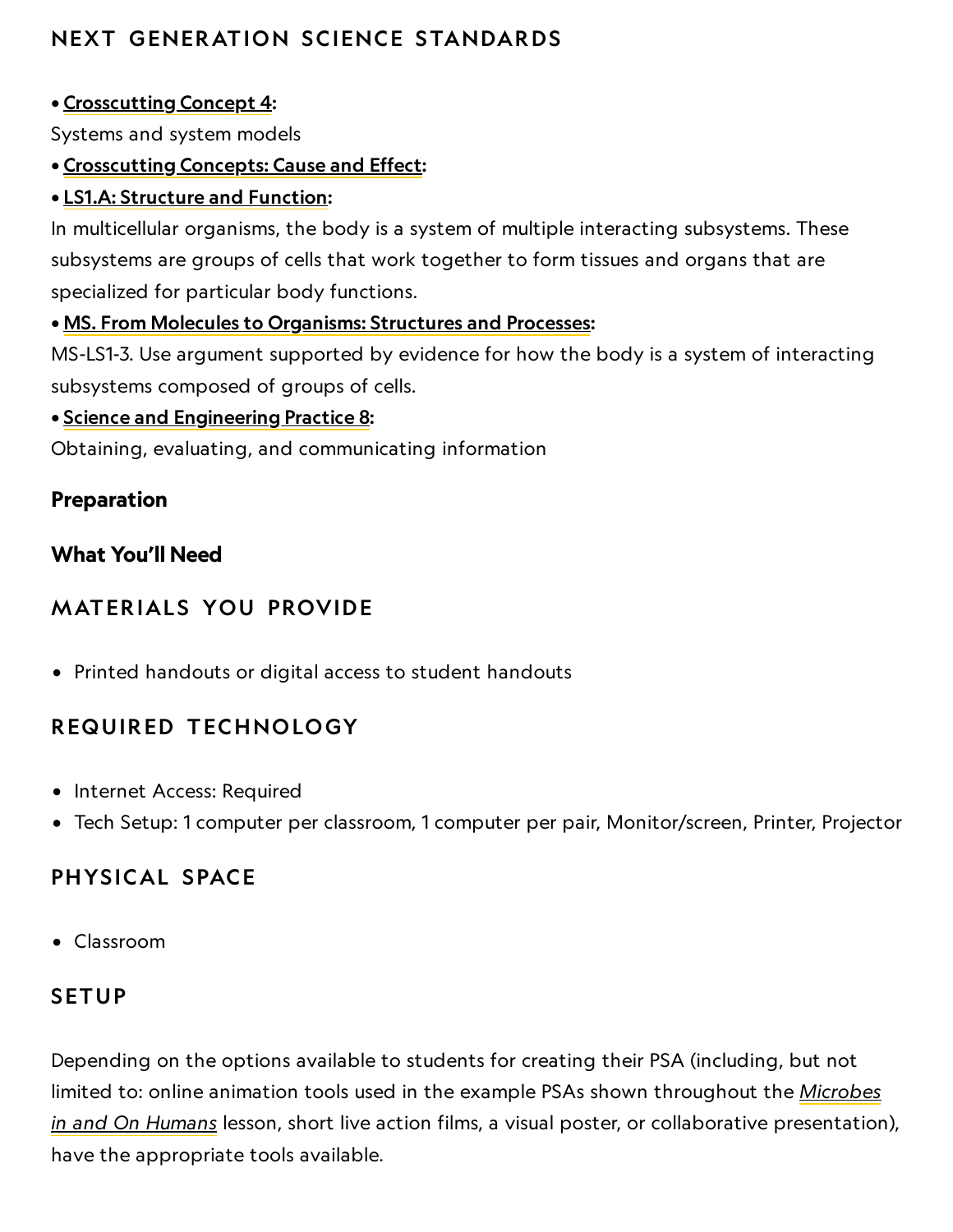## NEXT GENERATION SCIENCE STANDARDS

### • [Crosscutting](http://www.nap.edu/openbook.php?record_id=13165&page=91) Concept 4:

Systems and system models

### • [Crosscutting](https://www.nationalgeographic.org/activity/create-microbe-psa/print/None) Concepts: Cause and Effect:

#### • LS1.A: [Structure](https://ngss.sdcoe.net/Dimensions-of-the-NGSS/Disciplinary-Core-Ideas/DCI-Life-Sciences/LS1A-Structure-and-Function) and Function:

In multicellular organisms, the body is a system of multiple interacting subsystems. These subsystems are groups of cells that work together to form tissues and organs that are specialized for particular body functions.

#### • MS. From Molecules to [Organisms:](https://www.nextgenscience.org/dci-arrangement/ms-ls1-molecules-organisms-structures-and-processes) Structures and Processes:

MS-LS1-3. Use argument supported by evidence for how the body is a system of interacting subsystems composed of groups of cells.

#### • Science and [Engineering](http://www.nap.edu/openbook.php?record_id=13165&page=74) Practice 8:

Obtaining, evaluating, and communicating information

### Preparation

### What You'll Need

## **MATERIALS YOU PROVIDE**

Printed handouts or digital access to student handouts

### REQUIRED TECHNOLOGY

- Internet Access: Required
- Tech Setup: 1 computer per classroom, 1 computer per pair, Monitor/screen, Printer, Projector

### PHYSICAL SPACE

Classroom

### **SETUP**

Depending on the options available to students for creating their PSA (including, but not limited to: online animation tools used in the example PSAs shown throughout the Microbes in and On Humans lesson, short live action films, a visual poster, or [collaborative](https://www.nationalgeographic.org/lesson/microbes-in-on-humans/) presentation), have the appropriate tools available.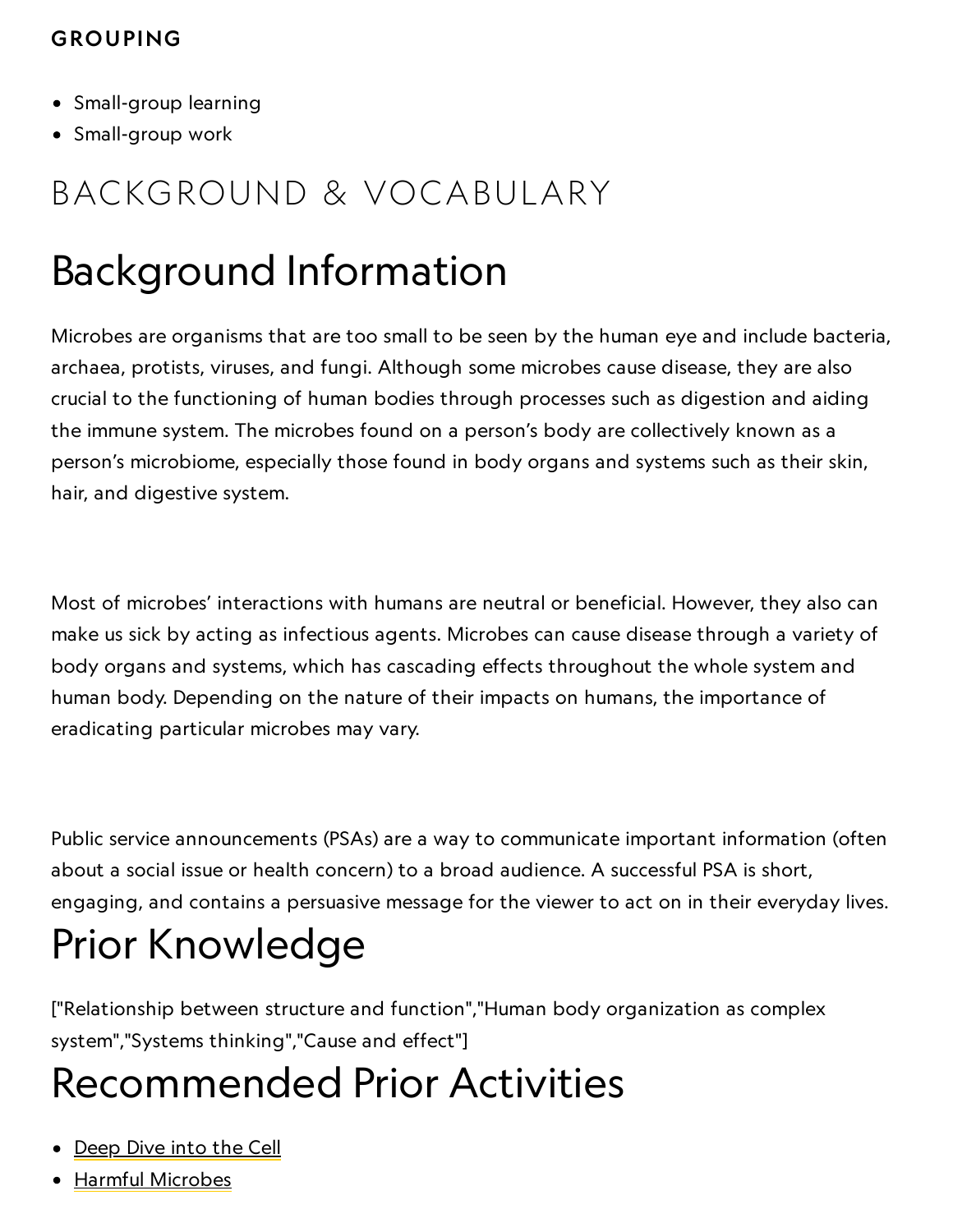## 11/4/2019 CROUPING CROUPING

- Small-group learning
- Small-group work

## BACKGROUND & VOCABULARY

## Background Information

Microbes are organisms that are too small to be seen by the human eye and include bacteria, archaea, protists, viruses, and fungi. Although some microbes cause disease, they are also crucial to the functioning of human bodies through processes such as digestion and aiding the immune system. The microbes found on a person's body are collectively known as a person's microbiome, especially those found in body organs and systems such as their skin, hair, and digestive system.

Most of microbes' interactions with humans are neutral or beneficial. However, they also can make us sick by acting as infectious agents. Microbes can cause disease through a variety of body organs and systems, which has cascading effects throughout the whole system and human body. Depending on the nature of their impacts on humans, the importance of eradicating particular microbes may vary.

Public service announcements (PSAs) are a way to communicate important information (often about a social issue or health concern) to a broad audience. A successful PSA is short, engaging, and contains a persuasive message for the viewer to act on in their everyday lives.

# Prior Knowledge

["Relationship between structure and function","Human body organization as complex system","Systems thinking","Cause and effect"]

## Recommended Prior Activities

- [Deep](https://www.nationalgeographic.org/activity/deep-dive-cell/) Dive into the Cell
- Harmful [Microbes](https://www.nationalgeographic.org/activity/harmful-microbes/)